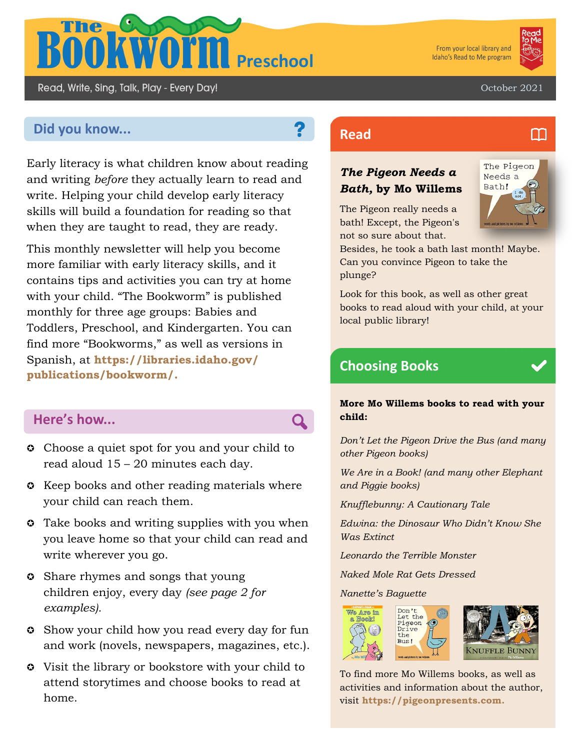

From your local library and Idaho's Read to Me program



M

October 2021

# **Did you know... Read Read**

Read, Write, Sing, Talk, Play - Every Day!

Early literacy is what children know about reading and writing *before* they actually learn to read and write. Helping your child develop early literacy skills will build a foundation for reading so that when they are taught to read, they are ready.

This monthly newsletter will help you become more familiar with early literacy skills, and it contains tips and activities you can try at home with your child. "The Bookworm" is published monthly for three age groups: Babies and Toddlers, Preschool, and Kindergarten. You can find more "Bookworms," as well as versions in Spanish, at **https://libraries.idaho.gov/ publications/bookworm/.** 

## **Here's how...**

- **Choose a quiet spot for you and your child to** read aloud 15 – 20 minutes each day.
- **C** Keep books and other reading materials where your child can reach them.
- **C** Take books and writing supplies with you when you leave home so that your child can read and write wherever you go.
- **C** Share rhymes and songs that young children enjoy, every day *(see page 2 for examples).*
- Show your child how you read every day for fun and work (novels, newspapers, magazines, etc.).
- Visit the library or bookstore with your child to attend storytimes and choose books to read at home.

## *The Pigeon Needs a Bath,* **by Mo Willems**

The Pigeon really needs a bath! Except, the Pigeon's not so sure about that.



Besides, he took a bath last month! Maybe. Can you convince Pigeon to take the plunge?

Look for this book, as well as other great books to read aloud with your child, at your local public library!

# **Choosing Books**

#### **More Mo Willems books to read with your child:**

*Don't Let the Pigeon Drive the Bus (and many other Pigeon books)*

*We Are in a Book! (and many other Elephant and Piggie books)*

*Knufflebunny: A Cautionary Tale*

*Edwina: the Dinosaur Who Didn't Know She Was Extinct*

*Leonardo the Terrible Monster*

*Naked Mole Rat Gets Dressed*

*Nanette's Baguette*



To find more Mo Willems books, as well as activities and information about the author, visit **https://pigeonpresents.com.**